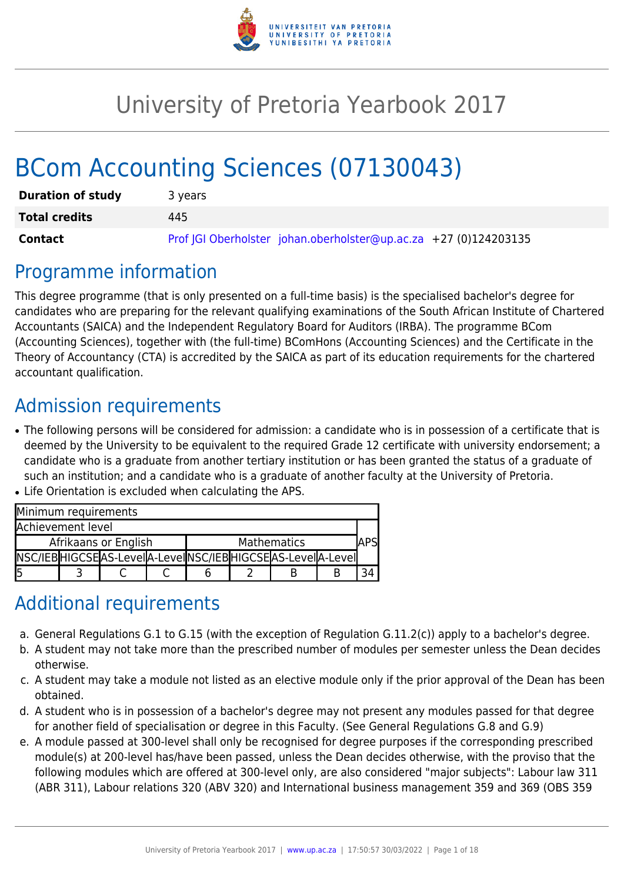

# University of Pretoria Yearbook 2017

# BCom Accounting Sciences (07130043)

| <b>Duration of study</b> | 3 years                                                          |
|--------------------------|------------------------------------------------------------------|
| <b>Total credits</b>     | 445                                                              |
| <b>Contact</b>           | Prof JGI Oberholster johan.oberholster@up.ac.za +27 (0)124203135 |

## Programme information

This degree programme (that is only presented on a full-time basis) is the specialised bachelor's degree for candidates who are preparing for the relevant qualifying examinations of the South African Institute of Chartered Accountants (SAICA) and the Independent Regulatory Board for Auditors (IRBA). The programme BCom (Accounting Sciences), together with (the full-time) BComHons (Accounting Sciences) and the Certificate in the Theory of Accountancy (CTA) is accredited by the SAICA as part of its education requirements for the chartered accountant qualification.

## Admission requirements

- The following persons will be considered for admission: a candidate who is in possession of a certificate that is deemed by the University to be equivalent to the required Grade 12 certificate with university endorsement; a candidate who is a graduate from another tertiary institution or has been granted the status of a graduate of such an institution; and a candidate who is a graduate of another faculty at the University of Pretoria.
- Life Orientation is excluded when calculating the APS.

| Minimum requirements |  |                                                                |  |             |  |  |
|----------------------|--|----------------------------------------------------------------|--|-------------|--|--|
| Achievement level    |  |                                                                |  |             |  |  |
| Afrikaans or English |  |                                                                |  | Mathematics |  |  |
|                      |  | NSC/IEB HIGCSE AS-Leve  A-Leve  NSC/IEB HIGCSE AS-Leve  A-Leve |  |             |  |  |
| l5                   |  |                                                                |  |             |  |  |

## Additional requirements

- a. General Regulations G.1 to G.15 (with the exception of Regulation G.11.2(c)) apply to a bachelor's degree.
- b. A student may not take more than the prescribed number of modules per semester unless the Dean decides otherwise.
- c. A student may take a module not listed as an elective module only if the prior approval of the Dean has been obtained.
- d. A student who is in possession of a bachelor's degree may not present any modules passed for that degree for another field of specialisation or degree in this Faculty. (See General Regulations G.8 and G.9)
- e. A module passed at 300-level shall only be recognised for degree purposes if the corresponding prescribed module(s) at 200-level has/have been passed, unless the Dean decides otherwise, with the proviso that the following modules which are offered at 300-level only, are also considered "major subjects": Labour law 311 (ABR 311), Labour relations 320 (ABV 320) and International business management 359 and 369 (OBS 359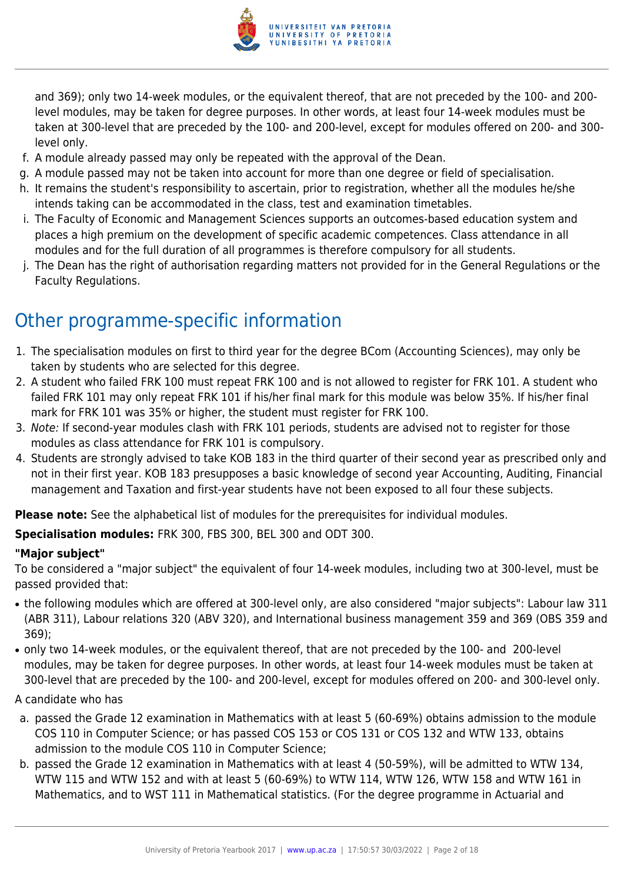

and 369); only two 14-week modules, or the equivalent thereof, that are not preceded by the 100- and 200 level modules, may be taken for degree purposes. In other words, at least four 14-week modules must be taken at 300-level that are preceded by the 100- and 200-level, except for modules offered on 200- and 300 level only.

- f. A module already passed may only be repeated with the approval of the Dean.
- g. A module passed may not be taken into account for more than one degree or field of specialisation.
- h. It remains the student's responsibility to ascertain, prior to registration, whether all the modules he/she intends taking can be accommodated in the class, test and examination timetables.
- i. The Faculty of Economic and Management Sciences supports an outcomes-based education system and places a high premium on the development of specific academic competences. Class attendance in all modules and for the full duration of all programmes is therefore compulsory for all students.
- j. The Dean has the right of authorisation regarding matters not provided for in the General Regulations or the Faculty Regulations.

## Other programme-specific information

- 1. The specialisation modules on first to third year for the degree BCom (Accounting Sciences), may only be taken by students who are selected for this degree.
- 2. A student who failed FRK 100 must repeat FRK 100 and is not allowed to register for FRK 101. A student who failed FRK 101 may only repeat FRK 101 if his/her final mark for this module was below 35%. If his/her final mark for FRK 101 was 35% or higher, the student must register for FRK 100.
- 3. Note: If second-year modules clash with FRK 101 periods, students are advised not to register for those modules as class attendance for FRK 101 is compulsory.
- 4. Students are strongly advised to take KOB 183 in the third quarter of their second year as prescribed only and not in their first year. KOB 183 presupposes a basic knowledge of second year Accounting, Auditing, Financial management and Taxation and first-year students have not been exposed to all four these subjects.

**Please note:** See the alphabetical list of modules for the prerequisites for individual modules.

**Specialisation modules:** FRK 300, FBS 300, BEL 300 and ODT 300.

### **"Major subject"**

To be considered a "major subject" the equivalent of four 14-week modules, including two at 300-level, must be passed provided that:

- the following modules which are offered at 300-level only, are also considered "major subjects": Labour law 311 (ABR 311), Labour relations 320 (ABV 320), and International business management 359 and 369 (OBS 359 and 369);
- only two 14-week modules, or the equivalent thereof, that are not preceded by the 100- and 200-level modules, may be taken for degree purposes. In other words, at least four 14-week modules must be taken at 300-level that are preceded by the 100- and 200-level, except for modules offered on 200- and 300-level only.

#### A candidate who has

- a. passed the Grade 12 examination in Mathematics with at least 5 (60-69%) obtains admission to the module COS 110 in Computer Science; or has passed COS 153 or COS 131 or COS 132 and WTW 133, obtains admission to the module COS 110 in Computer Science;
- b. passed the Grade 12 examination in Mathematics with at least 4 (50-59%), will be admitted to WTW 134, WTW 115 and WTW 152 and with at least 5 (60-69%) to WTW 114, WTW 126, WTW 158 and WTW 161 in Mathematics, and to WST 111 in Mathematical statistics. (For the degree programme in Actuarial and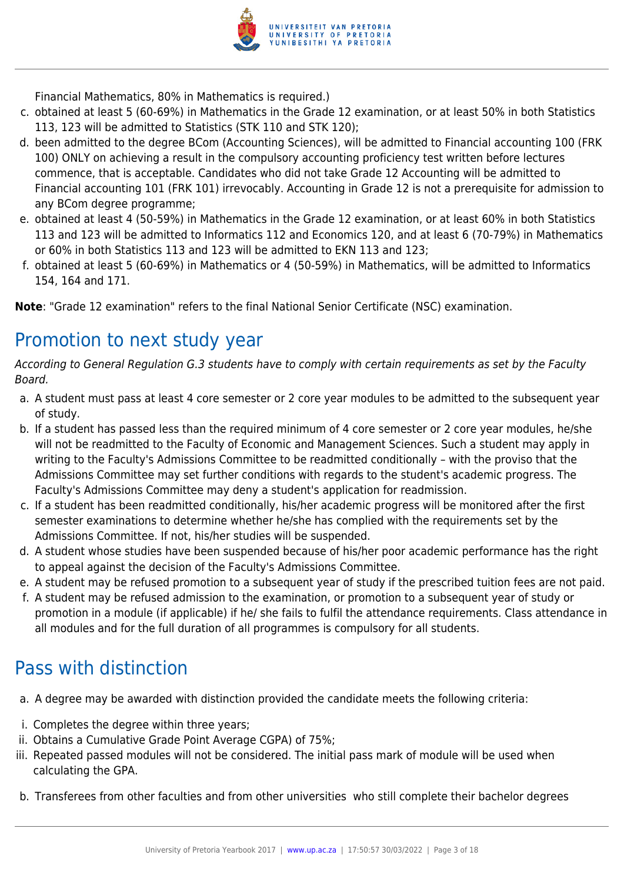

Financial Mathematics, 80% in Mathematics is required.)

- c. obtained at least 5 (60-69%) in Mathematics in the Grade 12 examination, or at least 50% in both Statistics 113, 123 will be admitted to Statistics (STK 110 and STK 120);
- d. been admitted to the degree BCom (Accounting Sciences), will be admitted to Financial accounting 100 (FRK 100) ONLY on achieving a result in the compulsory accounting proficiency test written before lectures commence, that is acceptable. Candidates who did not take Grade 12 Accounting will be admitted to Financial accounting 101 (FRK 101) irrevocably. Accounting in Grade 12 is not a prerequisite for admission to any BCom degree programme;
- e. obtained at least 4 (50-59%) in Mathematics in the Grade 12 examination, or at least 60% in both Statistics 113 and 123 will be admitted to Informatics 112 and Economics 120, and at least 6 (70-79%) in Mathematics or 60% in both Statistics 113 and 123 will be admitted to EKN 113 and 123;
- f. obtained at least 5 (60-69%) in Mathematics or 4 (50-59%) in Mathematics, will be admitted to Informatics 154, 164 and 171.

**Note**: "Grade 12 examination" refers to the final National Senior Certificate (NSC) examination.

## Promotion to next study year

According to General Regulation G.3 students have to comply with certain requirements as set by the Faculty Board.

- a. A student must pass at least 4 core semester or 2 core year modules to be admitted to the subsequent year of study.
- b. If a student has passed less than the required minimum of 4 core semester or 2 core year modules, he/she will not be readmitted to the Faculty of Economic and Management Sciences. Such a student may apply in writing to the Faculty's Admissions Committee to be readmitted conditionally – with the proviso that the Admissions Committee may set further conditions with regards to the student's academic progress. The Faculty's Admissions Committee may deny a student's application for readmission.
- c. If a student has been readmitted conditionally, his/her academic progress will be monitored after the first semester examinations to determine whether he/she has complied with the requirements set by the Admissions Committee. If not, his/her studies will be suspended.
- d. A student whose studies have been suspended because of his/her poor academic performance has the right to appeal against the decision of the Faculty's Admissions Committee.
- e. A student may be refused promotion to a subsequent year of study if the prescribed tuition fees are not paid.
- f. A student may be refused admission to the examination, or promotion to a subsequent year of study or promotion in a module (if applicable) if he/ she fails to fulfil the attendance requirements. Class attendance in all modules and for the full duration of all programmes is compulsory for all students.

## Pass with distinction

- a. A degree may be awarded with distinction provided the candidate meets the following criteria:
- i. Completes the degree within three years;
- ii. Obtains a Cumulative Grade Point Average CGPA) of 75%;
- iii. Repeated passed modules will not be considered. The initial pass mark of module will be used when calculating the GPA.
- b. Transferees from other faculties and from other universities who still complete their bachelor degrees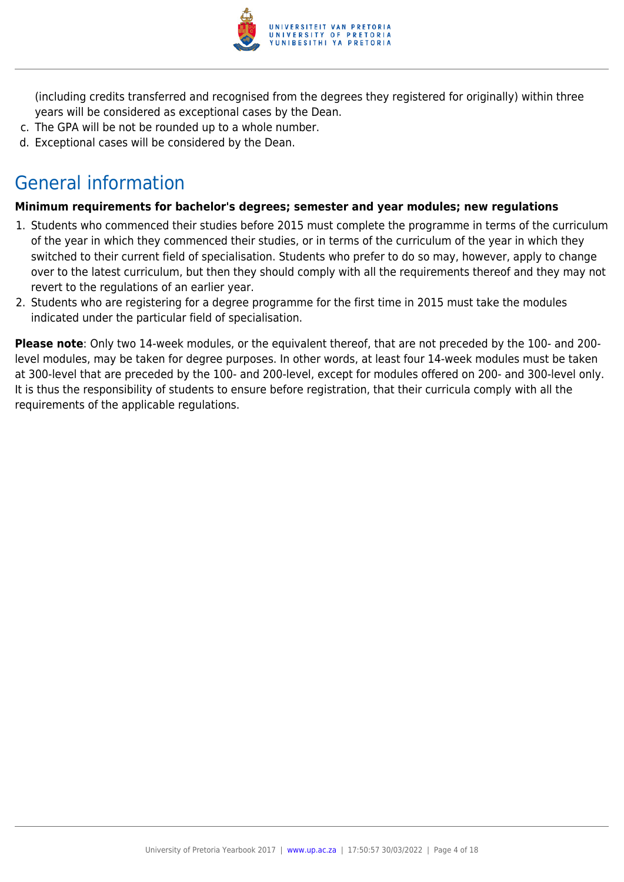

(including credits transferred and recognised from the degrees they registered for originally) within three years will be considered as exceptional cases by the Dean.

- c. The GPA will be not be rounded up to a whole number.
- d. Exceptional cases will be considered by the Dean.

## General information

#### **Minimum requirements for bachelor's degrees; semester and year modules; new regulations**

- 1. Students who commenced their studies before 2015 must complete the programme in terms of the curriculum of the year in which they commenced their studies, or in terms of the curriculum of the year in which they switched to their current field of specialisation. Students who prefer to do so may, however, apply to change over to the latest curriculum, but then they should comply with all the requirements thereof and they may not revert to the regulations of an earlier year.
- 2. Students who are registering for a degree programme for the first time in 2015 must take the modules indicated under the particular field of specialisation.

**Please note**: Only two 14-week modules, or the equivalent thereof, that are not preceded by the 100- and 200 level modules, may be taken for degree purposes. In other words, at least four 14-week modules must be taken at 300-level that are preceded by the 100- and 200-level, except for modules offered on 200- and 300-level only. It is thus the responsibility of students to ensure before registration, that their curricula comply with all the requirements of the applicable regulations.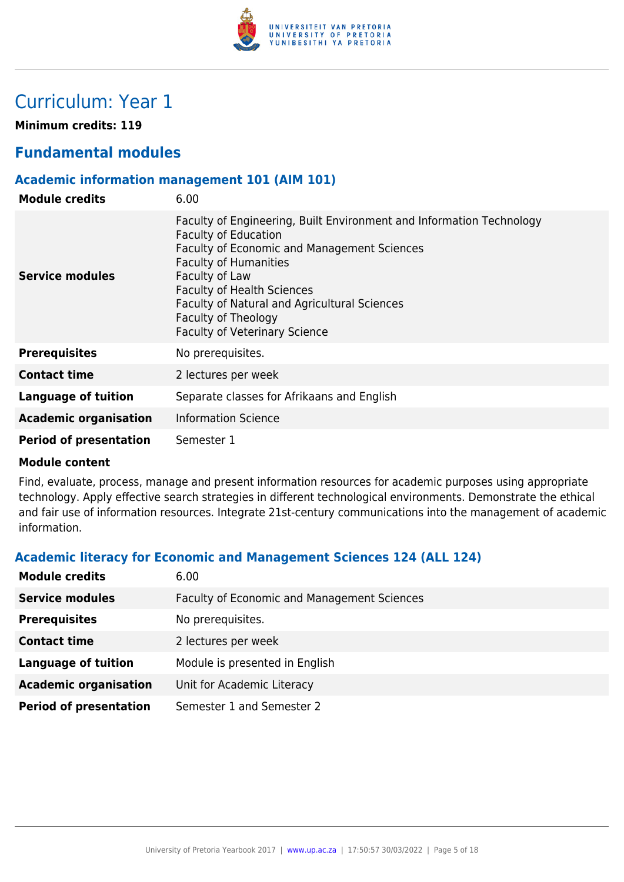

## Curriculum: Year 1

**Minimum credits: 119**

## **Fundamental modules**

#### **Academic information management 101 (AIM 101)**

| <b>Module credits</b>         | 6.00                                                                                                                                                                                                                                                                                                                                                     |
|-------------------------------|----------------------------------------------------------------------------------------------------------------------------------------------------------------------------------------------------------------------------------------------------------------------------------------------------------------------------------------------------------|
| <b>Service modules</b>        | Faculty of Engineering, Built Environment and Information Technology<br><b>Faculty of Education</b><br>Faculty of Economic and Management Sciences<br><b>Faculty of Humanities</b><br>Faculty of Law<br><b>Faculty of Health Sciences</b><br>Faculty of Natural and Agricultural Sciences<br>Faculty of Theology<br><b>Faculty of Veterinary Science</b> |
| <b>Prerequisites</b>          | No prerequisites.                                                                                                                                                                                                                                                                                                                                        |
| <b>Contact time</b>           | 2 lectures per week                                                                                                                                                                                                                                                                                                                                      |
| <b>Language of tuition</b>    | Separate classes for Afrikaans and English                                                                                                                                                                                                                                                                                                               |
| <b>Academic organisation</b>  | <b>Information Science</b>                                                                                                                                                                                                                                                                                                                               |
| <b>Period of presentation</b> | Semester 1                                                                                                                                                                                                                                                                                                                                               |

#### **Module content**

Find, evaluate, process, manage and present information resources for academic purposes using appropriate technology. Apply effective search strategies in different technological environments. Demonstrate the ethical and fair use of information resources. Integrate 21st-century communications into the management of academic information.

## **Academic literacy for Economic and Management Sciences 124 (ALL 124)**

| <b>Module credits</b>         | 6.00                                               |
|-------------------------------|----------------------------------------------------|
| <b>Service modules</b>        | <b>Faculty of Economic and Management Sciences</b> |
| <b>Prerequisites</b>          | No prerequisites.                                  |
| <b>Contact time</b>           | 2 lectures per week                                |
| <b>Language of tuition</b>    | Module is presented in English                     |
| <b>Academic organisation</b>  | Unit for Academic Literacy                         |
| <b>Period of presentation</b> | Semester 1 and Semester 2                          |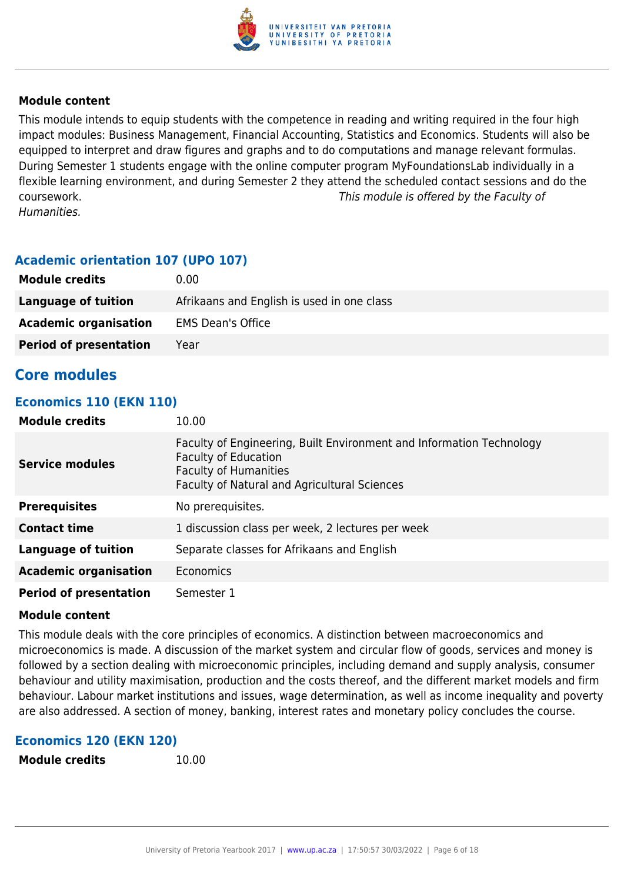

This module intends to equip students with the competence in reading and writing required in the four high impact modules: Business Management, Financial Accounting, Statistics and Economics. Students will also be equipped to interpret and draw figures and graphs and to do computations and manage relevant formulas. During Semester 1 students engage with the online computer program MyFoundationsLab individually in a flexible learning environment, and during Semester 2 they attend the scheduled contact sessions and do the coursework. This module is offered by the Faculty of Humanities.

## **Academic orientation 107 (UPO 107)**

| <b>Module credits</b>         | 0.00                                       |
|-------------------------------|--------------------------------------------|
| Language of tuition           | Afrikaans and English is used in one class |
| <b>Academic organisation</b>  | <b>EMS Dean's Office</b>                   |
| <b>Period of presentation</b> | Year                                       |

## **Core modules**

#### **Economics 110 (EKN 110)**

| <b>Module credits</b>         | 10.00                                                                                                                                                                                      |
|-------------------------------|--------------------------------------------------------------------------------------------------------------------------------------------------------------------------------------------|
| <b>Service modules</b>        | Faculty of Engineering, Built Environment and Information Technology<br><b>Faculty of Education</b><br><b>Faculty of Humanities</b><br><b>Faculty of Natural and Agricultural Sciences</b> |
| <b>Prerequisites</b>          | No prerequisites.                                                                                                                                                                          |
| <b>Contact time</b>           | 1 discussion class per week, 2 lectures per week                                                                                                                                           |
| Language of tuition           | Separate classes for Afrikaans and English                                                                                                                                                 |
| <b>Academic organisation</b>  | Economics                                                                                                                                                                                  |
| <b>Period of presentation</b> | Semester 1                                                                                                                                                                                 |

#### **Module content**

This module deals with the core principles of economics. A distinction between macroeconomics and microeconomics is made. A discussion of the market system and circular flow of goods, services and money is followed by a section dealing with microeconomic principles, including demand and supply analysis, consumer behaviour and utility maximisation, production and the costs thereof, and the different market models and firm behaviour. Labour market institutions and issues, wage determination, as well as income inequality and poverty are also addressed. A section of money, banking, interest rates and monetary policy concludes the course.

#### **Economics 120 (EKN 120)**

**Module credits** 10.00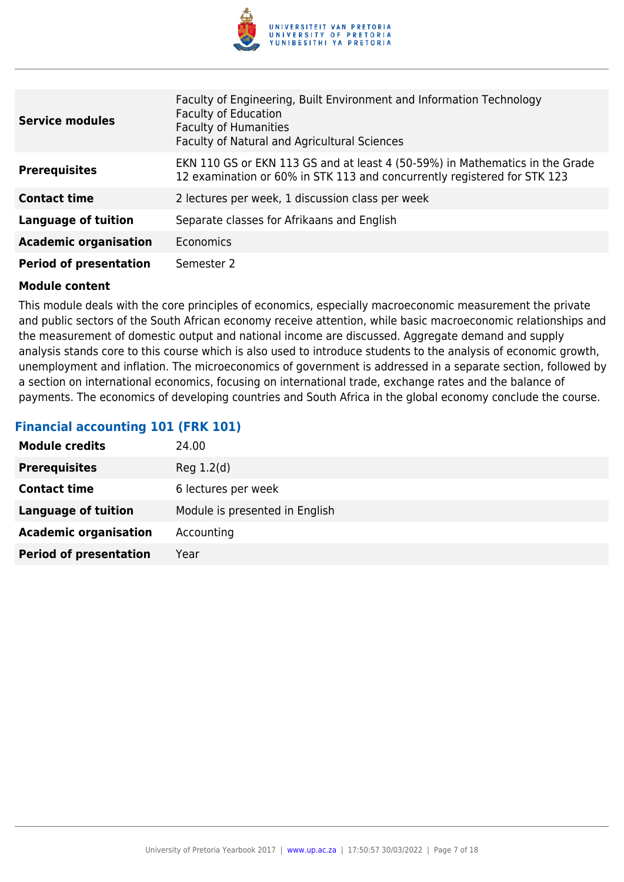

| <b>Service modules</b>        | Faculty of Engineering, Built Environment and Information Technology<br><b>Faculty of Education</b><br><b>Faculty of Humanities</b><br>Faculty of Natural and Agricultural Sciences |
|-------------------------------|-------------------------------------------------------------------------------------------------------------------------------------------------------------------------------------|
| <b>Prerequisites</b>          | EKN 110 GS or EKN 113 GS and at least 4 (50-59%) in Mathematics in the Grade<br>12 examination or 60% in STK 113 and concurrently registered for STK 123                            |
| <b>Contact time</b>           | 2 lectures per week, 1 discussion class per week                                                                                                                                    |
| <b>Language of tuition</b>    | Separate classes for Afrikaans and English                                                                                                                                          |
| <b>Academic organisation</b>  | Economics                                                                                                                                                                           |
| <b>Period of presentation</b> | Semester 2                                                                                                                                                                          |

This module deals with the core principles of economics, especially macroeconomic measurement the private and public sectors of the South African economy receive attention, while basic macroeconomic relationships and the measurement of domestic output and national income are discussed. Aggregate demand and supply analysis stands core to this course which is also used to introduce students to the analysis of economic growth, unemployment and inflation. The microeconomics of government is addressed in a separate section, followed by a section on international economics, focusing on international trade, exchange rates and the balance of payments. The economics of developing countries and South Africa in the global economy conclude the course.

## **Financial accounting 101 (FRK 101)**

| <b>Module credits</b>         | 24.00                          |
|-------------------------------|--------------------------------|
| <b>Prerequisites</b>          | Reg 1.2(d)                     |
| <b>Contact time</b>           | 6 lectures per week            |
| Language of tuition           | Module is presented in English |
| <b>Academic organisation</b>  | Accounting                     |
| <b>Period of presentation</b> | Year                           |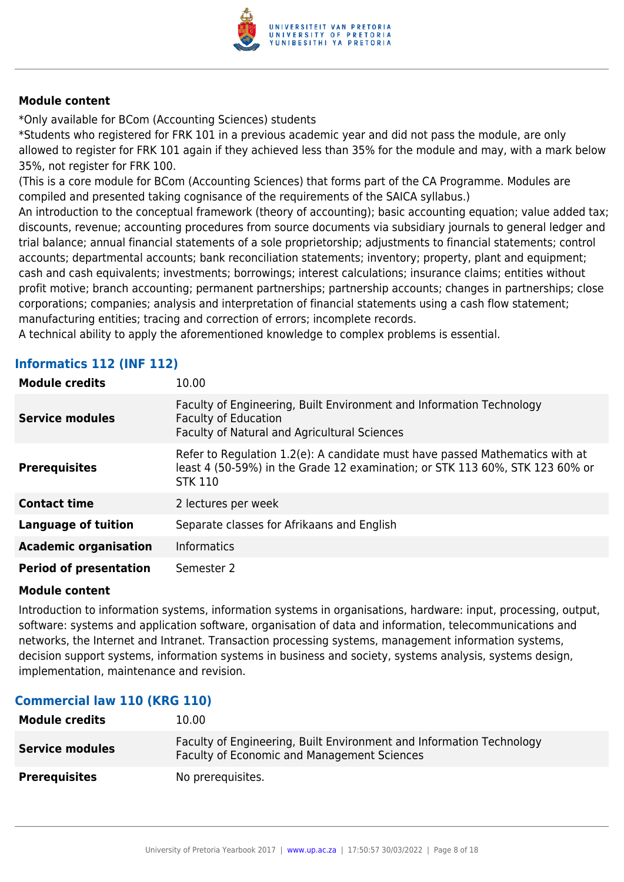

\*Only available for BCom (Accounting Sciences) students

\*Students who registered for FRK 101 in a previous academic year and did not pass the module, are only allowed to register for FRK 101 again if they achieved less than 35% for the module and may, with a mark below 35%, not register for FRK 100.

(This is a core module for BCom (Accounting Sciences) that forms part of the CA Programme. Modules are compiled and presented taking cognisance of the requirements of the SAICA syllabus.)

An introduction to the conceptual framework (theory of accounting); basic accounting equation; value added tax; discounts, revenue; accounting procedures from source documents via subsidiary journals to general ledger and trial balance; annual financial statements of a sole proprietorship; adjustments to financial statements; control accounts; departmental accounts; bank reconciliation statements; inventory; property, plant and equipment; cash and cash equivalents; investments; borrowings; interest calculations; insurance claims; entities without profit motive; branch accounting; permanent partnerships; partnership accounts; changes in partnerships; close corporations; companies; analysis and interpretation of financial statements using a cash flow statement; manufacturing entities; tracing and correction of errors; incomplete records.

A technical ability to apply the aforementioned knowledge to complex problems is essential.

## **Informatics 112 (INF 112)**

| <b>Module credits</b>         | 10.00                                                                                                                                                                          |
|-------------------------------|--------------------------------------------------------------------------------------------------------------------------------------------------------------------------------|
| <b>Service modules</b>        | Faculty of Engineering, Built Environment and Information Technology<br><b>Faculty of Education</b><br><b>Faculty of Natural and Agricultural Sciences</b>                     |
| <b>Prerequisites</b>          | Refer to Regulation 1.2(e): A candidate must have passed Mathematics with at<br>least 4 (50-59%) in the Grade 12 examination; or STK 113 60%, STK 123 60% or<br><b>STK 110</b> |
| <b>Contact time</b>           | 2 lectures per week                                                                                                                                                            |
| <b>Language of tuition</b>    | Separate classes for Afrikaans and English                                                                                                                                     |
| <b>Academic organisation</b>  | <b>Informatics</b>                                                                                                                                                             |
| <b>Period of presentation</b> | Semester 2                                                                                                                                                                     |

#### **Module content**

Introduction to information systems, information systems in organisations, hardware: input, processing, output, software: systems and application software, organisation of data and information, telecommunications and networks, the Internet and Intranet. Transaction processing systems, management information systems, decision support systems, information systems in business and society, systems analysis, systems design, implementation, maintenance and revision.

### **Commercial law 110 (KRG 110)**

| <b>Module credits</b>  | 10.00                                                                                                               |
|------------------------|---------------------------------------------------------------------------------------------------------------------|
| <b>Service modules</b> | Faculty of Engineering, Built Environment and Information Technology<br>Faculty of Economic and Management Sciences |
| <b>Prerequisites</b>   | No prerequisites.                                                                                                   |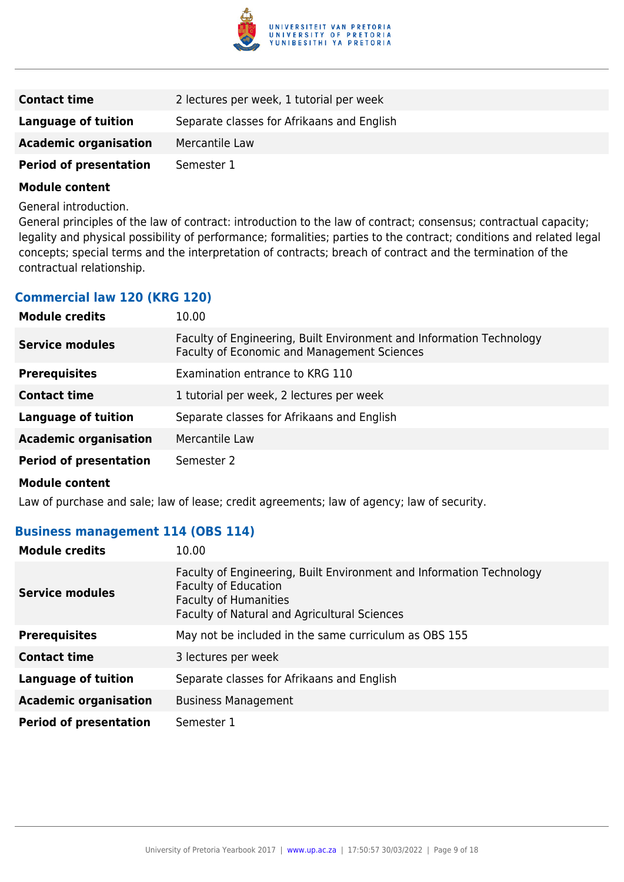

| <b>Contact time</b>           | 2 lectures per week, 1 tutorial per week   |
|-------------------------------|--------------------------------------------|
| <b>Language of tuition</b>    | Separate classes for Afrikaans and English |
| <b>Academic organisation</b>  | Mercantile Law                             |
| <b>Period of presentation</b> | Semester 1                                 |
|                               |                                            |

General introduction.

General principles of the law of contract: introduction to the law of contract; consensus; contractual capacity; legality and physical possibility of performance; formalities; parties to the contract; conditions and related legal concepts; special terms and the interpretation of contracts; breach of contract and the termination of the contractual relationship.

## **Commercial law 120 (KRG 120)**

| <b>Module credits</b>         | 10.00                                                                                                                      |
|-------------------------------|----------------------------------------------------------------------------------------------------------------------------|
| <b>Service modules</b>        | Faculty of Engineering, Built Environment and Information Technology<br><b>Faculty of Economic and Management Sciences</b> |
| <b>Prerequisites</b>          | Examination entrance to KRG 110                                                                                            |
| <b>Contact time</b>           | 1 tutorial per week, 2 lectures per week                                                                                   |
| <b>Language of tuition</b>    | Separate classes for Afrikaans and English                                                                                 |
| <b>Academic organisation</b>  | Mercantile Law                                                                                                             |
| <b>Period of presentation</b> | Semester 2                                                                                                                 |
| .                             |                                                                                                                            |

**Module content**

Law of purchase and sale; law of lease; credit agreements; law of agency; law of security.

#### **Business management 114 (OBS 114)**

| <b>Module credits</b>         | 10.00                                                                                                                                                                               |
|-------------------------------|-------------------------------------------------------------------------------------------------------------------------------------------------------------------------------------|
| <b>Service modules</b>        | Faculty of Engineering, Built Environment and Information Technology<br><b>Faculty of Education</b><br><b>Faculty of Humanities</b><br>Faculty of Natural and Agricultural Sciences |
| <b>Prerequisites</b>          | May not be included in the same curriculum as OBS 155                                                                                                                               |
| <b>Contact time</b>           | 3 lectures per week                                                                                                                                                                 |
| Language of tuition           | Separate classes for Afrikaans and English                                                                                                                                          |
| <b>Academic organisation</b>  | <b>Business Management</b>                                                                                                                                                          |
| <b>Period of presentation</b> | Semester 1                                                                                                                                                                          |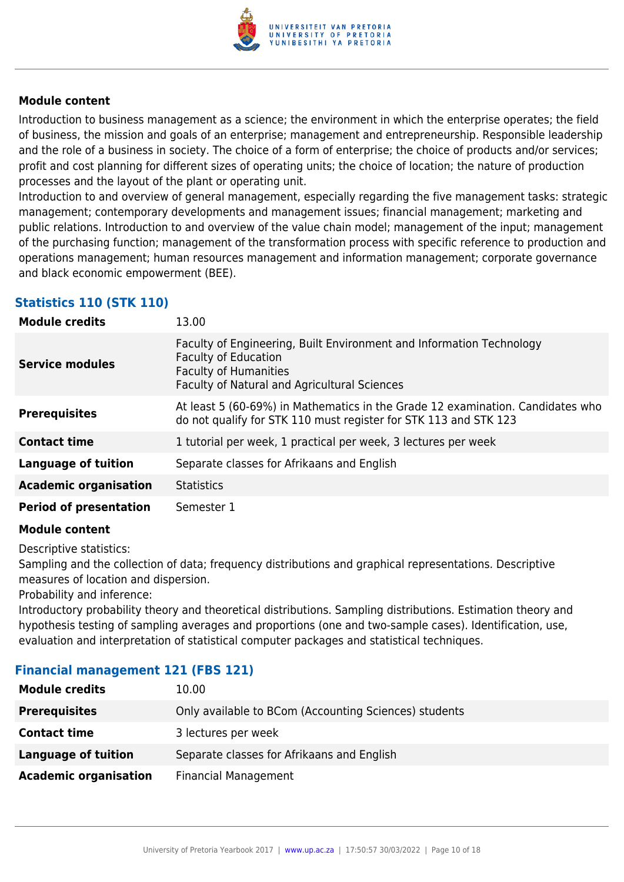

Introduction to business management as a science; the environment in which the enterprise operates; the field of business, the mission and goals of an enterprise; management and entrepreneurship. Responsible leadership and the role of a business in society. The choice of a form of enterprise; the choice of products and/or services; profit and cost planning for different sizes of operating units; the choice of location; the nature of production processes and the layout of the plant or operating unit.

Introduction to and overview of general management, especially regarding the five management tasks: strategic management; contemporary developments and management issues; financial management; marketing and public relations. Introduction to and overview of the value chain model; management of the input; management of the purchasing function; management of the transformation process with specific reference to production and operations management; human resources management and information management; corporate governance and black economic empowerment (BEE).

## **Statistics 110 (STK 110)**

| <b>Module credits</b>         | 13.00                                                                                                                                                                               |
|-------------------------------|-------------------------------------------------------------------------------------------------------------------------------------------------------------------------------------|
| <b>Service modules</b>        | Faculty of Engineering, Built Environment and Information Technology<br><b>Faculty of Education</b><br><b>Faculty of Humanities</b><br>Faculty of Natural and Agricultural Sciences |
| <b>Prerequisites</b>          | At least 5 (60-69%) in Mathematics in the Grade 12 examination. Candidates who<br>do not qualify for STK 110 must register for STK 113 and STK 123                                  |
| <b>Contact time</b>           | 1 tutorial per week, 1 practical per week, 3 lectures per week                                                                                                                      |
| Language of tuition           | Separate classes for Afrikaans and English                                                                                                                                          |
| <b>Academic organisation</b>  | <b>Statistics</b>                                                                                                                                                                   |
| <b>Period of presentation</b> | Semester 1                                                                                                                                                                          |

#### **Module content**

Descriptive statistics:

Sampling and the collection of data; frequency distributions and graphical representations. Descriptive measures of location and dispersion.

Probability and inference:

Introductory probability theory and theoretical distributions. Sampling distributions. Estimation theory and hypothesis testing of sampling averages and proportions (one and two-sample cases). Identification, use, evaluation and interpretation of statistical computer packages and statistical techniques.

### **Financial management 121 (FBS 121)**

| <b>Module credits</b>        | 10.00                                                 |
|------------------------------|-------------------------------------------------------|
| <b>Prerequisites</b>         | Only available to BCom (Accounting Sciences) students |
| <b>Contact time</b>          | 3 lectures per week                                   |
| <b>Language of tuition</b>   | Separate classes for Afrikaans and English            |
| <b>Academic organisation</b> | <b>Financial Management</b>                           |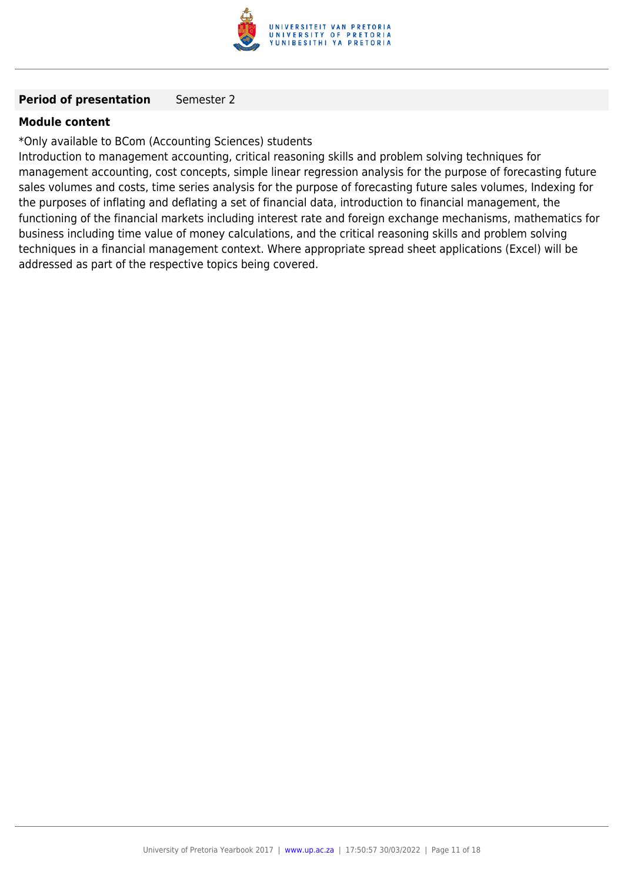

#### **Period of presentation** Semester 2

#### **Module content**

\*Only available to BCom (Accounting Sciences) students

Introduction to management accounting, critical reasoning skills and problem solving techniques for management accounting, cost concepts, simple linear regression analysis for the purpose of forecasting future sales volumes and costs, time series analysis for the purpose of forecasting future sales volumes, Indexing for the purposes of inflating and deflating a set of financial data, introduction to financial management, the functioning of the financial markets including interest rate and foreign exchange mechanisms, mathematics for business including time value of money calculations, and the critical reasoning skills and problem solving techniques in a financial management context. Where appropriate spread sheet applications (Excel) will be addressed as part of the respective topics being covered.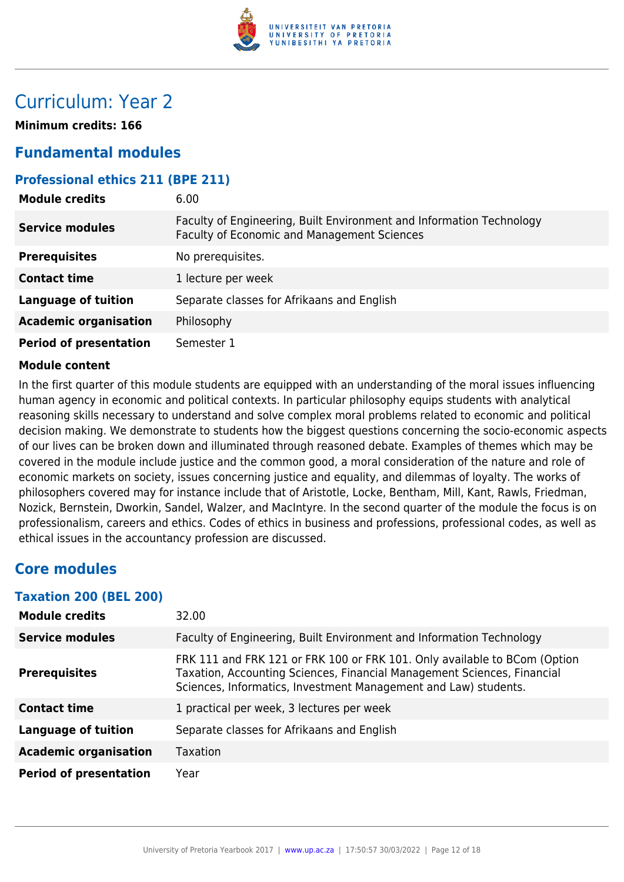

## Curriculum: Year 2

**Minimum credits: 166**

## **Fundamental modules**

## **Professional ethics 211 (BPE 211)**

| <b>Module credits</b>         | 6.00                                                                                                                |
|-------------------------------|---------------------------------------------------------------------------------------------------------------------|
| <b>Service modules</b>        | Faculty of Engineering, Built Environment and Information Technology<br>Faculty of Economic and Management Sciences |
| <b>Prerequisites</b>          | No prerequisites.                                                                                                   |
| <b>Contact time</b>           | 1 lecture per week                                                                                                  |
| <b>Language of tuition</b>    | Separate classes for Afrikaans and English                                                                          |
| <b>Academic organisation</b>  | Philosophy                                                                                                          |
| <b>Period of presentation</b> | Semester 1                                                                                                          |

#### **Module content**

In the first quarter of this module students are equipped with an understanding of the moral issues influencing human agency in economic and political contexts. In particular philosophy equips students with analytical reasoning skills necessary to understand and solve complex moral problems related to economic and political decision making. We demonstrate to students how the biggest questions concerning the socio-economic aspects of our lives can be broken down and illuminated through reasoned debate. Examples of themes which may be covered in the module include justice and the common good, a moral consideration of the nature and role of economic markets on society, issues concerning justice and equality, and dilemmas of loyalty. The works of philosophers covered may for instance include that of Aristotle, Locke, Bentham, Mill, Kant, Rawls, Friedman, Nozick, Bernstein, Dworkin, Sandel, Walzer, and MacIntyre. In the second quarter of the module the focus is on professionalism, careers and ethics. Codes of ethics in business and professions, professional codes, as well as ethical issues in the accountancy profession are discussed.

## **Core modules**

#### **Taxation 200 (BEL 200)**

| <b>Module credits</b>         | 32.00                                                                                                                                                                                                                   |
|-------------------------------|-------------------------------------------------------------------------------------------------------------------------------------------------------------------------------------------------------------------------|
| <b>Service modules</b>        | Faculty of Engineering, Built Environment and Information Technology                                                                                                                                                    |
| <b>Prerequisites</b>          | FRK 111 and FRK 121 or FRK 100 or FRK 101. Only available to BCom (Option<br>Taxation, Accounting Sciences, Financial Management Sciences, Financial<br>Sciences, Informatics, Investment Management and Law) students. |
| <b>Contact time</b>           | 1 practical per week, 3 lectures per week                                                                                                                                                                               |
| <b>Language of tuition</b>    | Separate classes for Afrikaans and English                                                                                                                                                                              |
| <b>Academic organisation</b>  | <b>Taxation</b>                                                                                                                                                                                                         |
| <b>Period of presentation</b> | Year                                                                                                                                                                                                                    |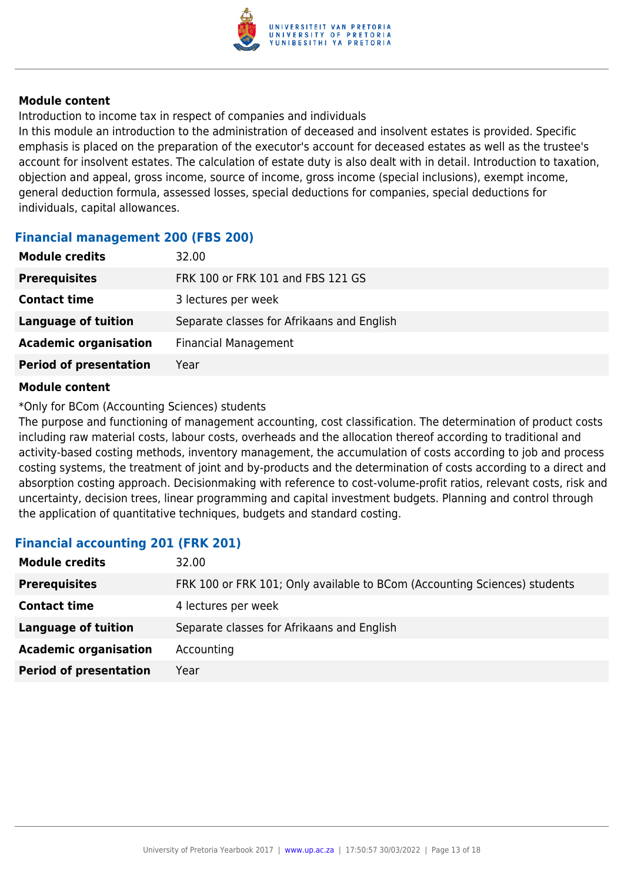

Introduction to income tax in respect of companies and individuals

In this module an introduction to the administration of deceased and insolvent estates is provided. Specific emphasis is placed on the preparation of the executor's account for deceased estates as well as the trustee's account for insolvent estates. The calculation of estate duty is also dealt with in detail. Introduction to taxation, objection and appeal, gross income, source of income, gross income (special inclusions), exempt income, general deduction formula, assessed losses, special deductions for companies, special deductions for individuals, capital allowances.

#### **Financial management 200 (FBS 200)**

| <b>Module credits</b>         | 32.00                                      |
|-------------------------------|--------------------------------------------|
| <b>Prerequisites</b>          | FRK 100 or FRK 101 and FBS 121 GS          |
| <b>Contact time</b>           | 3 lectures per week                        |
| <b>Language of tuition</b>    | Separate classes for Afrikaans and English |
| <b>Academic organisation</b>  | <b>Financial Management</b>                |
| <b>Period of presentation</b> | Year                                       |
|                               |                                            |

#### **Module content**

\*Only for BCom (Accounting Sciences) students

The purpose and functioning of management accounting, cost classification. The determination of product costs including raw material costs, labour costs, overheads and the allocation thereof according to traditional and activity-based costing methods, inventory management, the accumulation of costs according to job and process costing systems, the treatment of joint and by-products and the determination of costs according to a direct and absorption costing approach. Decisionmaking with reference to cost-volume-profit ratios, relevant costs, risk and uncertainty, decision trees, linear programming and capital investment budgets. Planning and control through the application of quantitative techniques, budgets and standard costing.

### **Financial accounting 201 (FRK 201)**

| <b>Module credits</b>         | 32.00                                                                     |
|-------------------------------|---------------------------------------------------------------------------|
| <b>Prerequisites</b>          | FRK 100 or FRK 101; Only available to BCom (Accounting Sciences) students |
| <b>Contact time</b>           | 4 lectures per week                                                       |
| <b>Language of tuition</b>    | Separate classes for Afrikaans and English                                |
| <b>Academic organisation</b>  | Accounting                                                                |
| <b>Period of presentation</b> | Year                                                                      |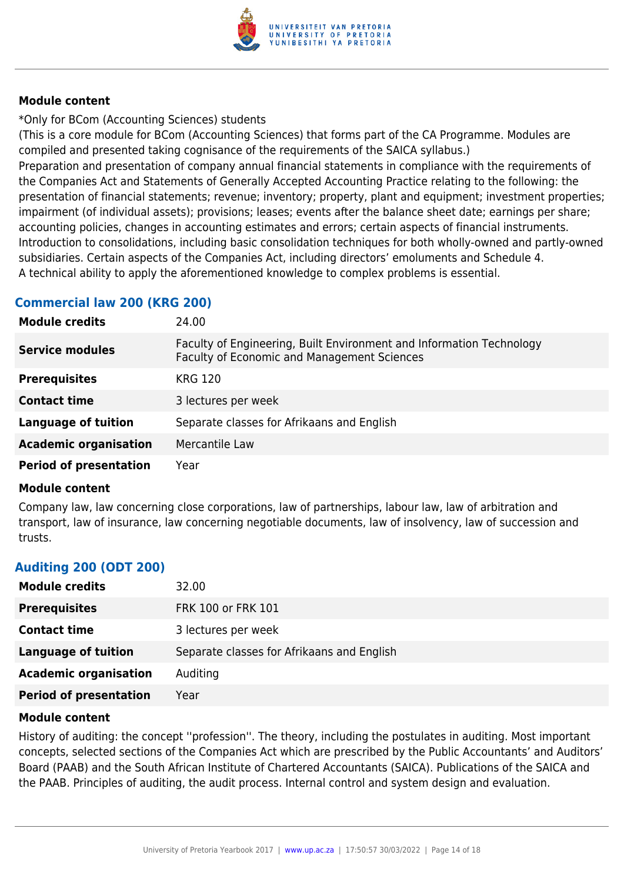

\*Only for BCom (Accounting Sciences) students

(This is a core module for BCom (Accounting Sciences) that forms part of the CA Programme. Modules are compiled and presented taking cognisance of the requirements of the SAICA syllabus.)

Preparation and presentation of company annual financial statements in compliance with the requirements of the Companies Act and Statements of Generally Accepted Accounting Practice relating to the following: the presentation of financial statements; revenue; inventory; property, plant and equipment; investment properties; impairment (of individual assets); provisions; leases; events after the balance sheet date; earnings per share; accounting policies, changes in accounting estimates and errors; certain aspects of financial instruments. Introduction to consolidations, including basic consolidation techniques for both wholly-owned and partly-owned subsidiaries. Certain aspects of the Companies Act, including directors' emoluments and Schedule 4. A technical ability to apply the aforementioned knowledge to complex problems is essential.

## **Commercial law 200 (KRG 200)**

| <b>Module credits</b>         | 24.00                                                                                                               |
|-------------------------------|---------------------------------------------------------------------------------------------------------------------|
| <b>Service modules</b>        | Faculty of Engineering, Built Environment and Information Technology<br>Faculty of Economic and Management Sciences |
| <b>Prerequisites</b>          | <b>KRG 120</b>                                                                                                      |
| <b>Contact time</b>           | 3 lectures per week                                                                                                 |
| <b>Language of tuition</b>    | Separate classes for Afrikaans and English                                                                          |
| <b>Academic organisation</b>  | Mercantile Law                                                                                                      |
| <b>Period of presentation</b> | Year                                                                                                                |

#### **Module content**

Company law, law concerning close corporations, law of partnerships, labour law, law of arbitration and transport, law of insurance, law concerning negotiable documents, law of insolvency, law of succession and trusts.

## **Auditing 200 (ODT 200)**

| <b>Module credits</b>         | 32.00                                      |
|-------------------------------|--------------------------------------------|
| <b>Prerequisites</b>          | FRK 100 or FRK 101                         |
| <b>Contact time</b>           | 3 lectures per week                        |
| Language of tuition           | Separate classes for Afrikaans and English |
| <b>Academic organisation</b>  | Auditing                                   |
| <b>Period of presentation</b> | Year                                       |

#### **Module content**

History of auditing: the concept ''profession''. The theory, including the postulates in auditing. Most important concepts, selected sections of the Companies Act which are prescribed by the Public Accountants' and Auditors' Board (PAAB) and the South African Institute of Chartered Accountants (SAICA). Publications of the SAICA and the PAAB. Principles of auditing, the audit process. Internal control and system design and evaluation.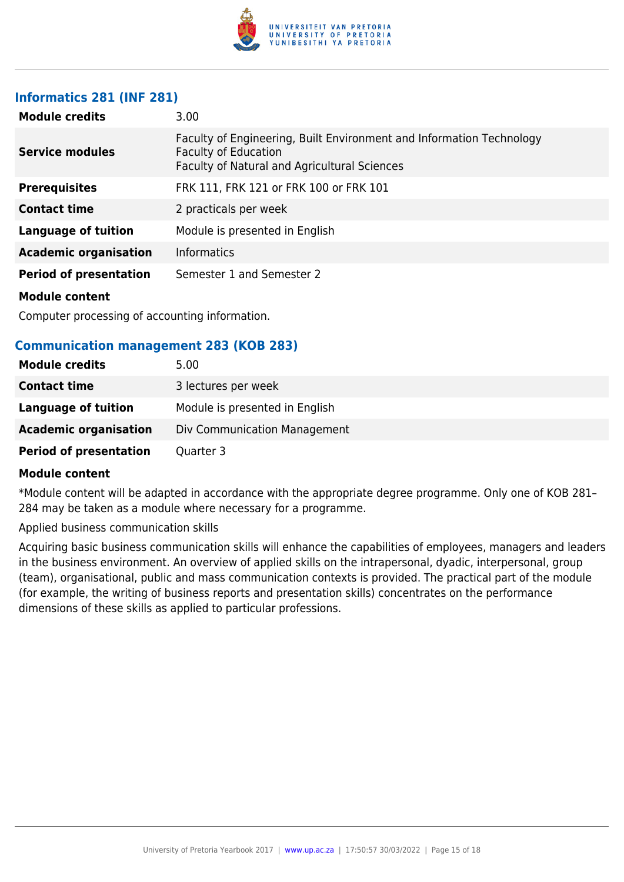

#### **Informatics 281 (INF 281)**

| <b>Module credits</b>         | 3.00                                                                                                                                                |
|-------------------------------|-----------------------------------------------------------------------------------------------------------------------------------------------------|
| <b>Service modules</b>        | Faculty of Engineering, Built Environment and Information Technology<br><b>Faculty of Education</b><br>Faculty of Natural and Agricultural Sciences |
| <b>Prerequisites</b>          | FRK 111, FRK 121 or FRK 100 or FRK 101                                                                                                              |
| <b>Contact time</b>           | 2 practicals per week                                                                                                                               |
| <b>Language of tuition</b>    | Module is presented in English                                                                                                                      |
| <b>Academic organisation</b>  | <b>Informatics</b>                                                                                                                                  |
| <b>Period of presentation</b> | Semester 1 and Semester 2                                                                                                                           |
| <b>Module content</b>         |                                                                                                                                                     |

Computer processing of accounting information.

### **Communication management 283 (KOB 283)**

| <b>Module credits</b>         | 5.00                           |
|-------------------------------|--------------------------------|
| <b>Contact time</b>           | 3 lectures per week            |
| Language of tuition           | Module is presented in English |
| <b>Academic organisation</b>  | Div Communication Management   |
| <b>Period of presentation</b> | Quarter 3                      |

#### **Module content**

\*Module content will be adapted in accordance with the appropriate degree programme. Only one of KOB 281– 284 may be taken as a module where necessary for a programme.

Applied business communication skills

Acquiring basic business communication skills will enhance the capabilities of employees, managers and leaders in the business environment. An overview of applied skills on the intrapersonal, dyadic, interpersonal, group (team), organisational, public and mass communication contexts is provided. The practical part of the module (for example, the writing of business reports and presentation skills) concentrates on the performance dimensions of these skills as applied to particular professions.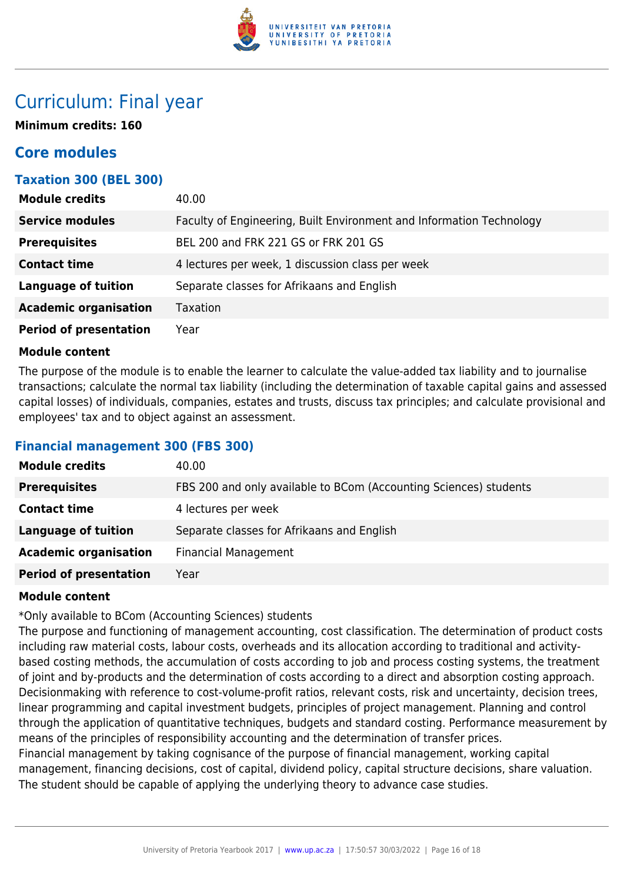

## Curriculum: Final year

**Minimum credits: 160**

## **Core modules**

## **Taxation 300 (BEL 300)**

| <b>Module credits</b>         | 40.00                                                                |
|-------------------------------|----------------------------------------------------------------------|
| <b>Service modules</b>        | Faculty of Engineering, Built Environment and Information Technology |
| <b>Prerequisites</b>          | BEL 200 and FRK 221 GS or FRK 201 GS                                 |
| <b>Contact time</b>           | 4 lectures per week, 1 discussion class per week                     |
| <b>Language of tuition</b>    | Separate classes for Afrikaans and English                           |
| <b>Academic organisation</b>  | <b>Taxation</b>                                                      |
| <b>Period of presentation</b> | Year                                                                 |

#### **Module content**

The purpose of the module is to enable the learner to calculate the value-added tax liability and to journalise transactions; calculate the normal tax liability (including the determination of taxable capital gains and assessed capital losses) of individuals, companies, estates and trusts, discuss tax principles; and calculate provisional and employees' tax and to object against an assessment.

### **Financial management 300 (FBS 300)**

| <b>Module credits</b>         | 40.00                                                             |
|-------------------------------|-------------------------------------------------------------------|
| <b>Prerequisites</b>          | FBS 200 and only available to BCom (Accounting Sciences) students |
| <b>Contact time</b>           | 4 lectures per week                                               |
| Language of tuition           | Separate classes for Afrikaans and English                        |
| <b>Academic organisation</b>  | <b>Financial Management</b>                                       |
| <b>Period of presentation</b> | Year                                                              |

#### **Module content**

\*Only available to BCom (Accounting Sciences) students

The purpose and functioning of management accounting, cost classification. The determination of product costs including raw material costs, labour costs, overheads and its allocation according to traditional and activitybased costing methods, the accumulation of costs according to job and process costing systems, the treatment of joint and by-products and the determination of costs according to a direct and absorption costing approach. Decisionmaking with reference to cost-volume-profit ratios, relevant costs, risk and uncertainty, decision trees, linear programming and capital investment budgets, principles of project management. Planning and control through the application of quantitative techniques, budgets and standard costing. Performance measurement by means of the principles of responsibility accounting and the determination of transfer prices. Financial management by taking cognisance of the purpose of financial management, working capital management, financing decisions, cost of capital, dividend policy, capital structure decisions, share valuation. The student should be capable of applying the underlying theory to advance case studies.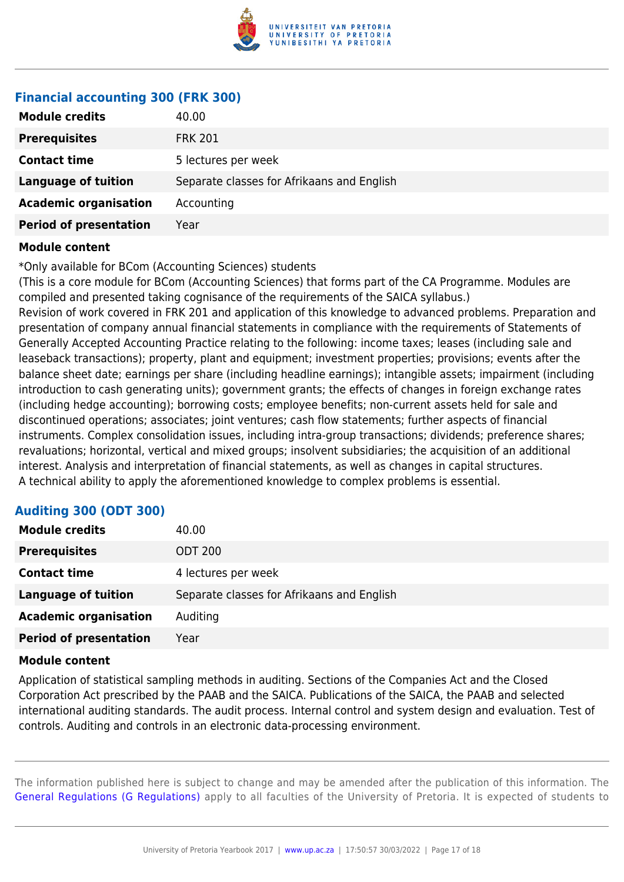

## **Financial accounting 300 (FRK 300)**

| <b>Module credits</b>         | 40.00                                      |
|-------------------------------|--------------------------------------------|
| <b>Prerequisites</b>          | <b>FRK 201</b>                             |
| <b>Contact time</b>           | 5 lectures per week                        |
| <b>Language of tuition</b>    | Separate classes for Afrikaans and English |
| <b>Academic organisation</b>  | Accounting                                 |
| <b>Period of presentation</b> | Year                                       |

#### **Module content**

\*Only available for BCom (Accounting Sciences) students

(This is a core module for BCom (Accounting Sciences) that forms part of the CA Programme. Modules are compiled and presented taking cognisance of the requirements of the SAICA syllabus.) Revision of work covered in FRK 201 and application of this knowledge to advanced problems. Preparation and presentation of company annual financial statements in compliance with the requirements of Statements of Generally Accepted Accounting Practice relating to the following: income taxes; leases (including sale and leaseback transactions); property, plant and equipment; investment properties; provisions; events after the balance sheet date; earnings per share (including headline earnings); intangible assets; impairment (including introduction to cash generating units); government grants; the effects of changes in foreign exchange rates (including hedge accounting); borrowing costs; employee benefits; non-current assets held for sale and discontinued operations; associates; joint ventures; cash flow statements; further aspects of financial instruments. Complex consolidation issues, including intra-group transactions; dividends; preference shares; revaluations; horizontal, vertical and mixed groups; insolvent subsidiaries; the acquisition of an additional interest. Analysis and interpretation of financial statements, as well as changes in capital structures. A technical ability to apply the aforementioned knowledge to complex problems is essential.

### **Auditing 300 (ODT 300)**

| <b>Module credits</b>         | 40.00                                      |
|-------------------------------|--------------------------------------------|
| <b>Prerequisites</b>          | <b>ODT 200</b>                             |
| <b>Contact time</b>           | 4 lectures per week                        |
| <b>Language of tuition</b>    | Separate classes for Afrikaans and English |
| <b>Academic organisation</b>  | Auditing                                   |
| <b>Period of presentation</b> | Year                                       |

#### **Module content**

Application of statistical sampling methods in auditing. Sections of the Companies Act and the Closed Corporation Act prescribed by the PAAB and the SAICA. Publications of the SAICA, the PAAB and selected international auditing standards. The audit process. Internal control and system design and evaluation. Test of controls. Auditing and controls in an electronic data-processing environment.

The information published here is subject to change and may be amended after the publication of this information. The [General Regulations \(G Regulations\)](https://www.up.ac.za/yearbooks/2017/rules/view/REG) apply to all faculties of the University of Pretoria. It is expected of students to